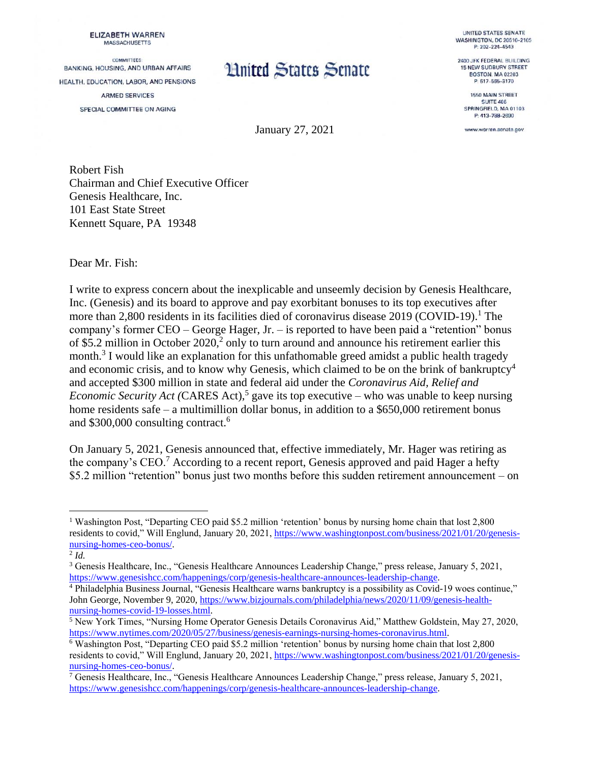## **ELIZABETH WARREN MASSACHUSETTS**

**COMMITTEES** BANKING, HOUSING, AND URBAN AFFAIRS HEALTH, EDUCATION, LABOR, AND PENSIONS **ARMED SERVICES** SPECIAL COMMITTEE ON AGING

## **Hnited States Senate**

January 27, 2021

UNITED STATES SENATE WASHINGTON, DC 20510-2105 P: 202-224-4543

2400 JFK FEDERAL BUILDING **15 NEW SUDBURY STREET BOSTON, MA 02203** P: 617-565-3170

1550 MAIN STREET **SUITE 406** SPRINGFIELD, MA 01103 P: 413-788-2690

www.warren.senate.gov

Robert Fish Chairman and Chief Executive Officer Genesis Healthcare, Inc. 101 East State Street Kennett Square, PA 19348

Dear Mr. Fish:

I write to express concern about the inexplicable and unseemly decision by Genesis Healthcare, Inc. (Genesis) and its board to approve and pay exorbitant bonuses to its top executives after more than 2,800 residents in its facilities died of coronavirus disease  $2019$  (COVID-19).<sup>1</sup> The company's former CEO – George Hager, Jr. – is reported to have been paid a "retention" bonus of \$5.2 million in October 2020,<sup>2</sup> only to turn around and announce his retirement earlier this month.<sup>3</sup> I would like an explanation for this unfathomable greed amidst a public health tragedy and economic crisis, and to know why Genesis, which claimed to be on the brink of bankruptcy<sup>4</sup> and accepted \$300 million in state and federal aid under the *Coronavirus Aid, Relief and Economic Security Act (*CARES Act), <sup>5</sup> gave its top executive – who was unable to keep nursing home residents safe – a multimillion dollar bonus, in addition to a \$650,000 retirement bonus and \$300,000 consulting contract.<sup>6</sup>

On January 5, 2021, Genesis announced that, effective immediately, Mr. Hager was retiring as the company's CEO.<sup>7</sup> According to a recent report, Genesis approved and paid Hager a hefty \$5.2 million "retention" bonus just two months before this sudden retirement announcement – on

 $\overline{a}$ 

<sup>4</sup> Philadelphia Business Journal, "Genesis Healthcare warns bankruptcy is a possibility as Covid-19 woes continue," John George, November 9, 2020[, https://www.bizjournals.com/philadelphia/news/2020/11/09/genesis-health](https://www.bizjournals.com/philadelphia/news/2020/11/09/genesis-health-nursing-homes-covid-19-losses.html)[nursing-homes-covid-19-losses.html.](https://www.bizjournals.com/philadelphia/news/2020/11/09/genesis-health-nursing-homes-covid-19-losses.html) 

<sup>1</sup> Washington Post, "Departing CEO paid \$5.2 million 'retention' bonus by nursing home chain that lost 2,800 residents to covid," Will Englund, January 20, 2021[, https://www.washingtonpost.com/business/2021/01/20/genesis](https://www.washingtonpost.com/business/2021/01/20/genesis-nursing-homes-ceo-bonus/)[nursing-homes-ceo-bonus/.](https://www.washingtonpost.com/business/2021/01/20/genesis-nursing-homes-ceo-bonus/) 2 *Id.*

<sup>3</sup> Genesis Healthcare, Inc., "Genesis Healthcare Announces Leadership Change," press release, January 5, 2021, https://www.genesishcc.com/happenings/corp/genesis-healthcare-announces-leadership-change.

<sup>5</sup> New York Times, "Nursing Home Operator Genesis Details Coronavirus Aid," Matthew Goldstein, May 27, 2020, [https://www.nytimes.com/2020/05/27/business/genesis-earnings-nursing-homes-coronavirus.html.](https://www.nytimes.com/2020/05/27/business/genesis-earnings-nursing-homes-coronavirus.html)

<sup>6</sup> Washington Post, "Departing CEO paid \$5.2 million 'retention' bonus by nursing home chain that lost 2,800 residents to covid," Will Englund, January 20, 2021[, https://www.washingtonpost.com/business/2021/01/20/genesis](https://www.washingtonpost.com/business/2021/01/20/genesis-nursing-homes-ceo-bonus/)[nursing-homes-ceo-bonus/.](https://www.washingtonpost.com/business/2021/01/20/genesis-nursing-homes-ceo-bonus/)

<sup>&</sup>lt;sup>7</sup> Genesis Healthcare, Inc., "Genesis Healthcare Announces Leadership Change," press release, January 5, 2021, https://www.genesishcc.com/happenings/corp/genesis-healthcare-announces-leadership-change.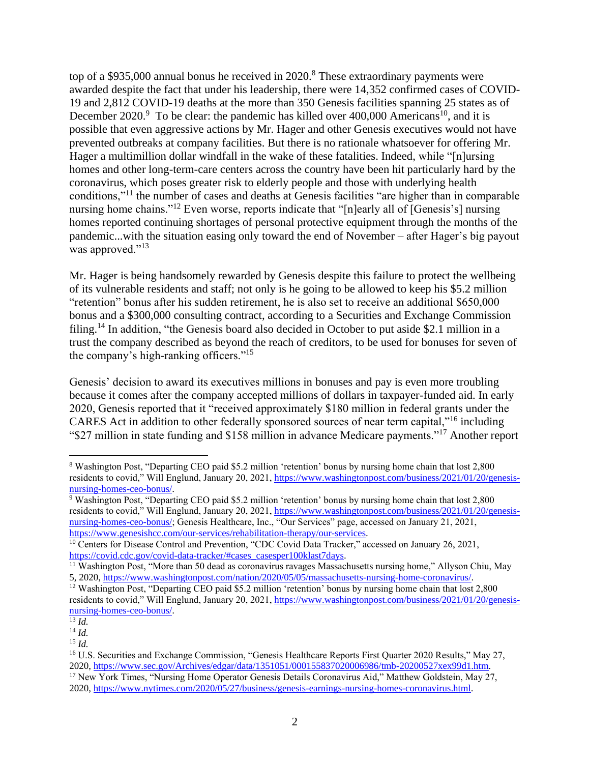top of a \$935,000 annual bonus he received in  $2020$ .<sup>8</sup> These extraordinary payments were awarded despite the fact that under his leadership, there were 14,352 confirmed cases of COVID-19 and 2,812 COVID-19 deaths at the more than 350 Genesis facilities spanning 25 states as of December 2020.<sup>9</sup> To be clear: the pandemic has killed over 400,000 Americans<sup>10</sup>, and it is possible that even aggressive actions by Mr. Hager and other Genesis executives would not have prevented outbreaks at company facilities. But there is no rationale whatsoever for offering Mr. Hager a multimillion dollar windfall in the wake of these fatalities. Indeed, while "[n]ursing homes and other long-term-care centers across the country have been hit particularly hard by the coronavirus, which poses greater risk to elderly people and those with underlying health conditions,"<sup>11</sup> the number of cases and deaths at Genesis facilities "are higher than in comparable nursing home chains."<sup>12</sup> Even worse, reports indicate that "[n]early all of [Genesis's] nursing homes reported continuing shortages of personal protective equipment through the months of the pandemic...with the situation easing only toward the end of November – after Hager's big payout was approved."<sup>13</sup>

Mr. Hager is being handsomely rewarded by Genesis despite this failure to protect the wellbeing of its vulnerable residents and staff; not only is he going to be allowed to keep his \$5.2 million "retention" bonus after his sudden retirement, he is also set to receive an additional \$650,000 bonus and a \$300,000 consulting contract, according to a Securities and Exchange Commission filing.<sup>14</sup> In addition, "the Genesis board also decided in October to put aside \$2.1 million in a trust the company described as beyond the reach of creditors, to be used for bonuses for seven of the company's high-ranking officers."<sup>15</sup>

Genesis' decision to award its executives millions in bonuses and pay is even more troubling because it comes after the company accepted millions of dollars in taxpayer-funded aid. In early 2020, Genesis reported that it "received approximately \$180 million in federal grants under the CARES Act in addition to other federally sponsored sources of near term capital,"<sup>16</sup> including "\$27 million in state funding and \$158 million in advance Medicare payments."<sup>17</sup> Another report

 $\overline{a}$ 

<sup>8</sup> Washington Post, "Departing CEO paid \$5.2 million 'retention' bonus by nursing home chain that lost 2,800 residents to covid," Will Englund, January 20, 2021[, https://www.washingtonpost.com/business/2021/01/20/genesis](https://www.washingtonpost.com/business/2021/01/20/genesis-nursing-homes-ceo-bonus/)[nursing-homes-ceo-bonus/.](https://www.washingtonpost.com/business/2021/01/20/genesis-nursing-homes-ceo-bonus/)

<sup>9</sup> Washington Post, "Departing CEO paid \$5.2 million 'retention' bonus by nursing home chain that lost 2,800 residents to covid," Will Englund, January 20, 2021[, https://www.washingtonpost.com/business/2021/01/20/genesis](https://www.washingtonpost.com/business/2021/01/20/genesis-nursing-homes-ceo-bonus/)[nursing-homes-ceo-bonus/;](https://www.washingtonpost.com/business/2021/01/20/genesis-nursing-homes-ceo-bonus/) Genesis Healthcare, Inc., "Our Services" page, accessed on January 21, 2021, [https://www.genesishcc.com/our-services/rehabilitation-therapy/our-services.](https://www.genesishcc.com/our-services/rehabilitation-therapy/our-services)

<sup>&</sup>lt;sup>10</sup> Centers for Disease Control and Prevention, "CDC Covid Data Tracker," accessed on January 26, 2021, [https://covid.cdc.gov/covid-data-tracker/#cases\\_casesper100klast7days.](https://covid.cdc.gov/covid-data-tracker/#cases_casesper100klast7days)

 $11$  Washington Post, "More than 50 dead as coronavirus ravages Massachusetts nursing home," Allyson Chiu, May 5, 2020, [https://www.washingtonpost.com/nation/2020/05/05/massachusetts-nursing-home-coronavirus/.](https://www.washingtonpost.com/nation/2020/05/05/massachusetts-nursing-home-coronavirus/)

<sup>12</sup> Washington Post, "Departing CEO paid \$5.2 million 'retention' bonus by nursing home chain that lost 2,800 residents to covid," Will Englund, January 20, 2021[, https://www.washingtonpost.com/business/2021/01/20/genesis](https://www.washingtonpost.com/business/2021/01/20/genesis-nursing-homes-ceo-bonus/)[nursing-homes-ceo-bonus/.](https://www.washingtonpost.com/business/2021/01/20/genesis-nursing-homes-ceo-bonus/)

<sup>13</sup> *Id.*

<sup>14</sup> *Id.*

<sup>15</sup> *Id.*

<sup>&</sup>lt;sup>16</sup> U.S. Securities and Exchange Commission, "Genesis Healthcare Reports First Quarter 2020 Results," May 27, 2020, [https://www.sec.gov/Archives/edgar/data/1351051/000155837020006986/tmb-20200527xex99d1.htm.](https://www.sec.gov/Archives/edgar/data/1351051/000155837020006986/tmb-20200527xex99d1.htm)

<sup>&</sup>lt;sup>17</sup> New York Times, "Nursing Home Operator Genesis Details Coronavirus Aid," Matthew Goldstein, May 27, 2020, [https://www.nytimes.com/2020/05/27/business/genesis-earnings-nursing-homes-coronavirus.html.](https://www.nytimes.com/2020/05/27/business/genesis-earnings-nursing-homes-coronavirus.html)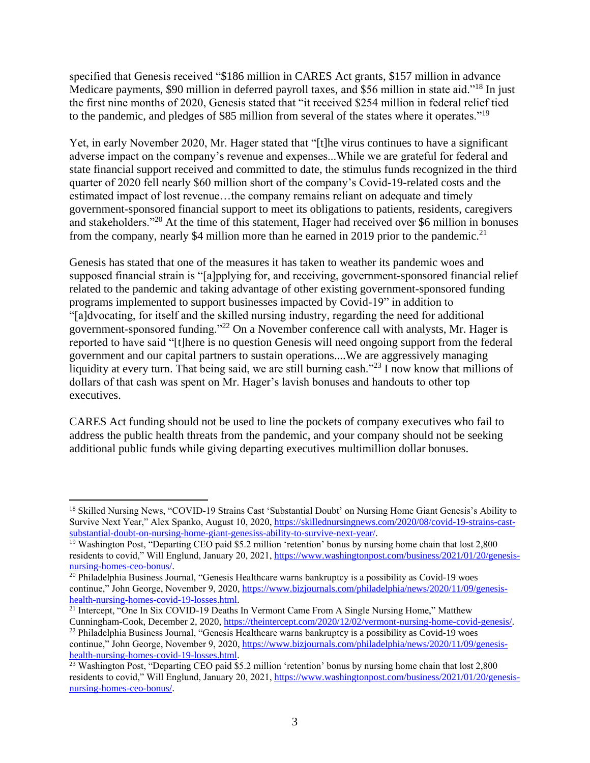specified that Genesis received "\$186 million in CARES Act grants, \$157 million in advance Medicare payments, \$90 million in deferred payroll taxes, and \$56 million in state aid."<sup>18</sup> In just the first nine months of 2020, Genesis stated that "it received \$254 million in federal relief tied to the pandemic, and pledges of \$85 million from several of the states where it operates."<sup>19</sup>

Yet, in early November 2020, Mr. Hager stated that "[t]he virus continues to have a significant adverse impact on the company's revenue and expenses...While we are grateful for federal and state financial support received and committed to date, the stimulus funds recognized in the third quarter of 2020 fell nearly \$60 million short of the company's Covid-19-related costs and the estimated impact of lost revenue…the company remains reliant on adequate and timely government-sponsored financial support to meet its obligations to patients, residents, caregivers and stakeholders."<sup>20</sup> At the time of this statement, Hager had received over \$6 million in bonuses from the company, nearly \$4 million more than he earned in 2019 prior to the pandemic.<sup>21</sup>

Genesis has stated that one of the measures it has taken to weather its pandemic woes and supposed financial strain is "[a]pplying for, and receiving, government-sponsored financial relief related to the pandemic and taking advantage of other existing government-sponsored funding programs implemented to support businesses impacted by Covid-19" in addition to "[a]dvocating, for itself and the skilled nursing industry, regarding the need for additional government-sponsored funding."<sup>22</sup> On a November conference call with analysts, Mr. Hager is reported to have said "[t]here is no question Genesis will need ongoing support from the federal government and our capital partners to sustain operations....We are aggressively managing liquidity at every turn. That being said, we are still burning cash."<sup>23</sup> I now know that millions of dollars of that cash was spent on Mr. Hager's lavish bonuses and handouts to other top executives.

CARES Act funding should not be used to line the pockets of company executives who fail to address the public health threats from the pandemic, and your company should not be seeking additional public funds while giving departing executives multimillion dollar bonuses.

 $\overline{a}$ 

<sup>&</sup>lt;sup>18</sup> Skilled Nursing News, "COVID-19 Strains Cast 'Substantial Doubt' on Nursing Home Giant Genesis's Ability to Survive Next Year," Alex Spanko, August 10, 2020[, https://skillednursingnews.com/2020/08/covid-19-strains-cast](https://skillednursingnews.com/2020/08/covid-19-strains-cast-substantial-doubt-on-nursing-home-giant-genesiss-ability-to-survive-next-year/)[substantial-doubt-on-nursing-home-giant-genesiss-ability-to-survive-next-year/.](https://skillednursingnews.com/2020/08/covid-19-strains-cast-substantial-doubt-on-nursing-home-giant-genesiss-ability-to-survive-next-year/)

<sup>&</sup>lt;sup>19</sup> Washington Post, "Departing CEO paid \$5.2 million 'retention' bonus by nursing home chain that lost 2,800 residents to covid," Will Englund, January 20, 2021[, https://www.washingtonpost.com/business/2021/01/20/genesis](https://www.washingtonpost.com/business/2021/01/20/genesis-nursing-homes-ceo-bonus/)[nursing-homes-ceo-bonus/.](https://www.washingtonpost.com/business/2021/01/20/genesis-nursing-homes-ceo-bonus/)

<sup>&</sup>lt;sup>20</sup> Philadelphia Business Journal, "Genesis Healthcare warns bankruptcy is a possibility as Covid-19 woes continue," John George, November 9, 2020, [https://www.bizjournals.com/philadelphia/news/2020/11/09/genesis](https://www.bizjournals.com/philadelphia/news/2020/11/09/genesis-health-nursing-homes-covid-19-losses.html)[health-nursing-homes-covid-19-losses.html.](https://www.bizjournals.com/philadelphia/news/2020/11/09/genesis-health-nursing-homes-covid-19-losses.html)

 $21$  Intercept, "One In Six COVID-19 Deaths In Vermont Came From A Single Nursing Home," Matthew Cunningham-Cook, December 2, 2020, [https://theintercept.com/2020/12/02/vermont-nursing-home-covid-genesis/.](https://theintercept.com/2020/12/02/vermont-nursing-home-covid-genesis/) 

<sup>22</sup> Philadelphia Business Journal, "Genesis Healthcare warns bankruptcy is a possibility as Covid-19 woes continue," John George, November 9, 2020, [https://www.bizjournals.com/philadelphia/news/2020/11/09/genesis](https://www.bizjournals.com/philadelphia/news/2020/11/09/genesis-health-nursing-homes-covid-19-losses.html)[health-nursing-homes-covid-19-losses.html.](https://www.bizjournals.com/philadelphia/news/2020/11/09/genesis-health-nursing-homes-covid-19-losses.html)

 $\frac{23}{23}$  Washington Post, "Departing CEO paid \$5.2 million 'retention' bonus by nursing home chain that lost 2,800 residents to covid," Will Englund, January 20, 2021[, https://www.washingtonpost.com/business/2021/01/20/genesis](https://www.washingtonpost.com/business/2021/01/20/genesis-nursing-homes-ceo-bonus/)[nursing-homes-ceo-bonus/.](https://www.washingtonpost.com/business/2021/01/20/genesis-nursing-homes-ceo-bonus/)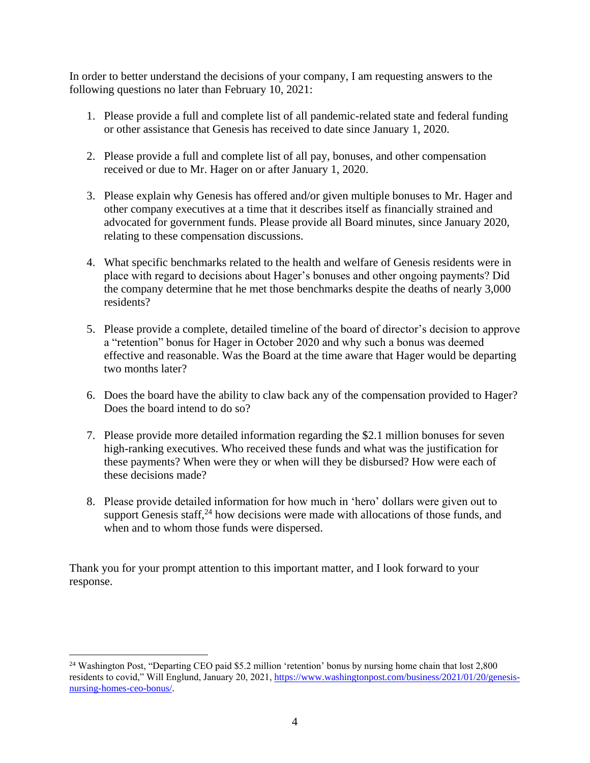In order to better understand the decisions of your company, I am requesting answers to the following questions no later than February 10, 2021:

- 1. Please provide a full and complete list of all pandemic-related state and federal funding or other assistance that Genesis has received to date since January 1, 2020.
- 2. Please provide a full and complete list of all pay, bonuses, and other compensation received or due to Mr. Hager on or after January 1, 2020.
- 3. Please explain why Genesis has offered and/or given multiple bonuses to Mr. Hager and other company executives at a time that it describes itself as financially strained and advocated for government funds. Please provide all Board minutes, since January 2020, relating to these compensation discussions.
- 4. What specific benchmarks related to the health and welfare of Genesis residents were in place with regard to decisions about Hager's bonuses and other ongoing payments? Did the company determine that he met those benchmarks despite the deaths of nearly 3,000 residents?
- 5. Please provide a complete, detailed timeline of the board of director's decision to approve a "retention" bonus for Hager in October 2020 and why such a bonus was deemed effective and reasonable. Was the Board at the time aware that Hager would be departing two months later?
- 6. Does the board have the ability to claw back any of the compensation provided to Hager? Does the board intend to do so?
- 7. Please provide more detailed information regarding the \$2.1 million bonuses for seven high-ranking executives. Who received these funds and what was the justification for these payments? When were they or when will they be disbursed? How were each of these decisions made?
- 8. Please provide detailed information for how much in 'hero' dollars were given out to support Genesis staff,  $24$  how decisions were made with allocations of those funds, and when and to whom those funds were dispersed.

Thank you for your prompt attention to this important matter, and I look forward to your response.

 $\overline{a}$ 

<sup>&</sup>lt;sup>24</sup> Washington Post, "Departing CEO paid \$5.2 million 'retention' bonus by nursing home chain that lost 2,800 residents to covid," Will Englund, January 20, 2021[, https://www.washingtonpost.com/business/2021/01/20/genesis](https://www.washingtonpost.com/business/2021/01/20/genesis-nursing-homes-ceo-bonus/)[nursing-homes-ceo-bonus/.](https://www.washingtonpost.com/business/2021/01/20/genesis-nursing-homes-ceo-bonus/)